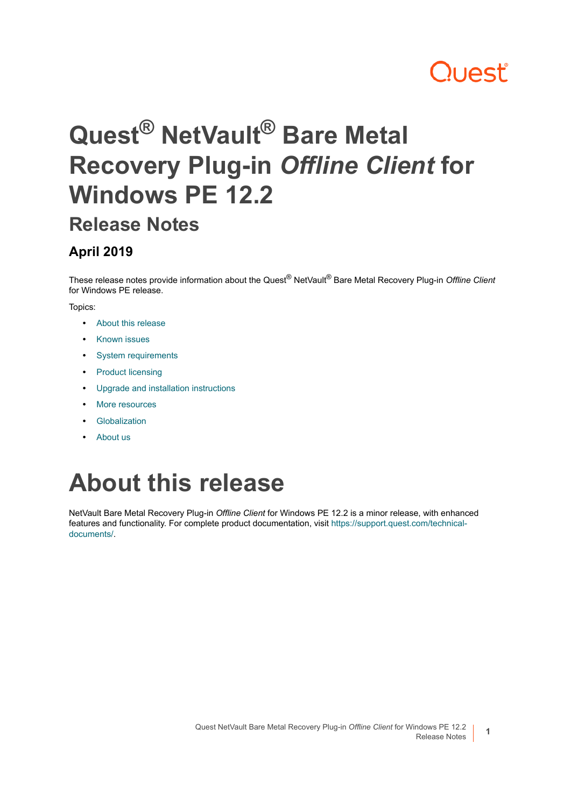# **Quest**

# **Quest® NetVault® Bare Metal Recovery Plug-in** *Offline Client* **for Windows PE 12.2**

### **Release Notes**

### **April 2019**

These release notes provide information about the Quest® NetVault® Bare Metal Recovery Plug-in *Offline Client* for Windows PE release.

#### Topics:

- **•** [About this release](#page-0-0)
- **•** [Known issues](#page-1-2)
- **•** [System requirements](#page-1-0)
- **•** [Product licensing](#page-1-1)
- **•** [Upgrade and installation instructions](#page-2-0)
- **•** [More resources](#page-3-0)
- **•** [Globalization](#page-3-1)
- **•** [About us](#page-3-2)

# <span id="page-0-0"></span>**About this release**

NetVault Bare Metal Recovery Plug-in *Offline Client* for Windows PE 12.2 is a minor release, with enhanced features and functionality. For complete product documentation, visit [https://support.quest.com/technical](https://support.quest.com/technical-documents/)[documents/](https://support.quest.com/technical-documents/).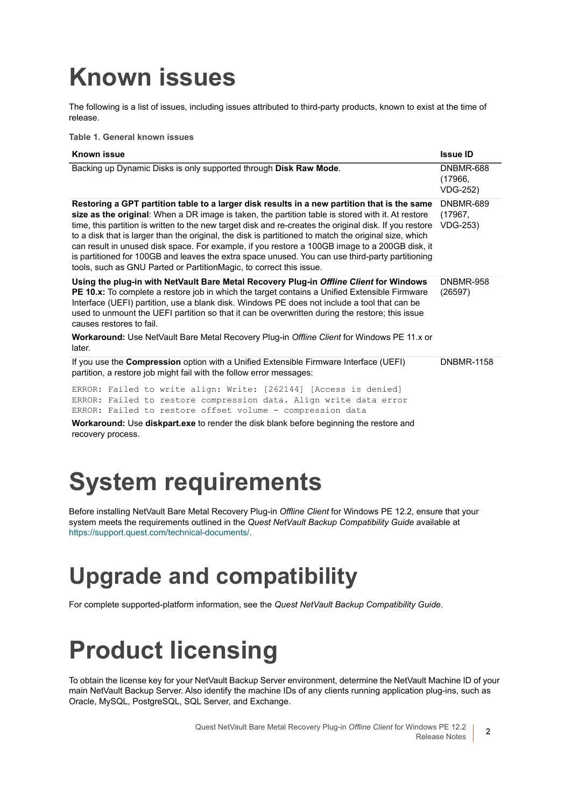# <span id="page-1-2"></span>**Known issues**

The following is a list of issues, including issues attributed to third-party products, known to exist at the time of release.

**Table 1. General known issues**

| <b>Known issue</b>                                                                                                                                                                                                                                                                                                                                                                                                                                                                                                                                                                                                                                                                                 | <b>Issue ID</b>                         |
|----------------------------------------------------------------------------------------------------------------------------------------------------------------------------------------------------------------------------------------------------------------------------------------------------------------------------------------------------------------------------------------------------------------------------------------------------------------------------------------------------------------------------------------------------------------------------------------------------------------------------------------------------------------------------------------------------|-----------------------------------------|
| Backing up Dynamic Disks is only supported through Disk Raw Mode.                                                                                                                                                                                                                                                                                                                                                                                                                                                                                                                                                                                                                                  | DNBMR-688<br>(17966,<br><b>VDG-252)</b> |
| Restoring a GPT partition table to a larger disk results in a new partition that is the same<br>size as the original: When a DR image is taken, the partition table is stored with it. At restore<br>time, this partition is written to the new target disk and re-creates the original disk. If you restore<br>to a disk that is larger than the original, the disk is partitioned to match the original size, which<br>can result in unused disk space. For example, if you restore a 100GB image to a 200GB disk, it<br>is partitioned for 100GB and leaves the extra space unused. You can use third-party partitioning<br>tools, such as GNU Parted or PartitionMagic, to correct this issue. | DNBMR-689<br>(17967,<br><b>VDG-253)</b> |
| Using the plug-in with NetVault Bare Metal Recovery Plug-in Offline Client for Windows<br>PE 10.x: To complete a restore job in which the target contains a Unified Extensible Firmware<br>Interface (UEFI) partition, use a blank disk. Windows PE does not include a tool that can be<br>used to unmount the UEFI partition so that it can be overwritten during the restore; this issue<br>causes restores to fail.<br><b>Workaround:</b> Use NetVault Bare Metal Recovery Plug-in Offline Client for Windows PE 11.x or                                                                                                                                                                        | DNBMR-958<br>(26597)                    |
| later.                                                                                                                                                                                                                                                                                                                                                                                                                                                                                                                                                                                                                                                                                             |                                         |
| If you use the Compression option with a Unified Extensible Firmware Interface (UEFI)<br>partition, a restore job might fail with the follow error messages:                                                                                                                                                                                                                                                                                                                                                                                                                                                                                                                                       | <b>DNBMR-1158</b>                       |
| ERROR: Failed to write align: Write: [262144] [Access is denied]<br>ERROR: Failed to restore compression data. Align write data error<br>ERROR: Failed to restore offset volume - compression data<br>Workaround: I lee disknart ave to render the disk hlank hefore heginning the restore and                                                                                                                                                                                                                                                                                                                                                                                                     |                                         |

**Workaround:** Use **diskpart.exe** to render the disk blank before beginning the restore and recovery process.

# <span id="page-1-0"></span>**System requirements**

Before installing NetVault Bare Metal Recovery Plug-in *Offline Client* for Windows PE 12.2, ensure that your system meets the requirements outlined in the *Quest NetVault Backup Compatibility Guide* available at <https://support.quest.com/technical-documents/>.

## **Upgrade and compatibility**

For complete supported-platform information, see the *Quest NetVault Backup Compatibility Guide*.

# <span id="page-1-1"></span>**Product licensing**

To obtain the license key for your NetVault Backup Server environment, determine the NetVault Machine ID of your main NetVault Backup Server. Also identify the machine IDs of any clients running application plug-ins, such as Oracle, MySQL, PostgreSQL, SQL Server, and Exchange.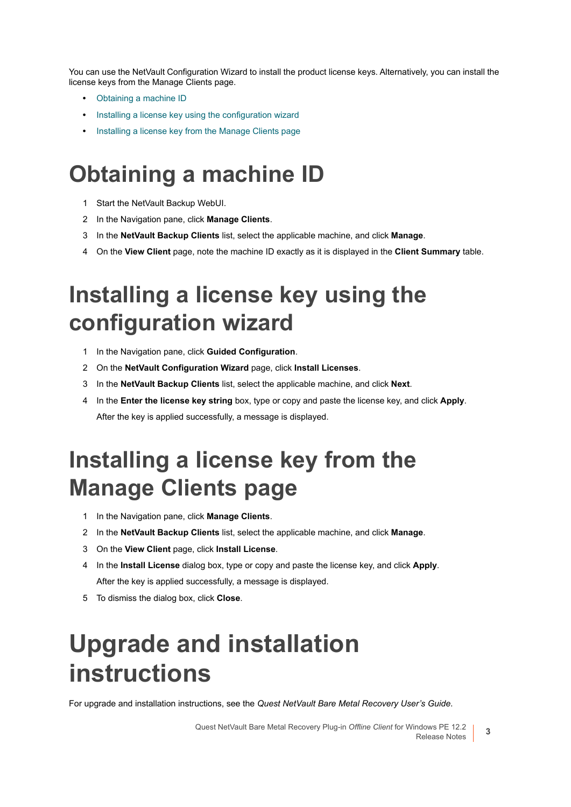You can use the NetVault Configuration Wizard to install the product license keys. Alternatively, you can install the license keys from the Manage Clients page.

- **•** [Obtaining a machine ID](#page-2-1)
- **•** [Installing a license key using the configuration wizard](#page-2-2)
- **•** [Installing a license key from the Manage Clients page](#page-2-3)

### <span id="page-2-1"></span>**Obtaining a machine ID**

- 1 Start the NetVault Backup WebUI.
- 2 In the Navigation pane, click **Manage Clients**.
- 3 In the **NetVault Backup Clients** list, select the applicable machine, and click **Manage**.
- 4 On the **View Client** page, note the machine ID exactly as it is displayed in the **Client Summary** table.

### <span id="page-2-2"></span>**Installing a license key using the configuration wizard**

- 1 In the Navigation pane, click **Guided Configuration**.
- 2 On the **NetVault Configuration Wizard** page, click **Install Licenses**.
- 3 In the **NetVault Backup Clients** list, select the applicable machine, and click **Next**.
- 4 In the **Enter the license key string** box, type or copy and paste the license key, and click **Apply**. After the key is applied successfully, a message is displayed.

### <span id="page-2-3"></span>**Installing a license key from the Manage Clients page**

- 1 In the Navigation pane, click **Manage Clients**.
- 2 In the **NetVault Backup Clients** list, select the applicable machine, and click **Manage**.
- 3 On the **View Client** page, click **Install License**.
- 4 In the **Install License** dialog box, type or copy and paste the license key, and click **Apply**. After the key is applied successfully, a message is displayed.
- 5 To dismiss the dialog box, click **Close**.

# <span id="page-2-0"></span>**Upgrade and installation instructions**

For upgrade and installation instructions, see the *Quest NetVault Bare Metal Recovery User's Guide*.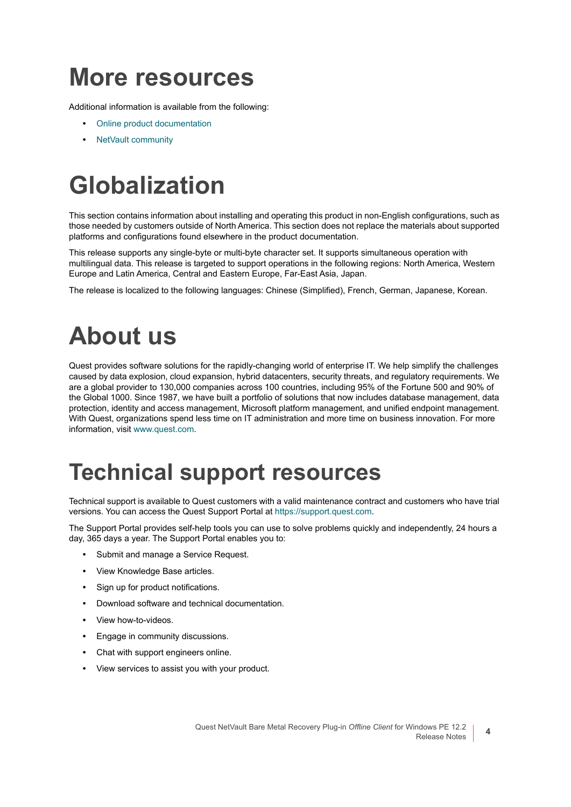## <span id="page-3-0"></span>**More resources**

Additional information is available from the following:

- **•** [Online product documentation](https://support.quest.com/technical-documents/)
- **•** [NetVault community](https://www.quest.com/community/products/netvault/)

# <span id="page-3-1"></span>**Globalization**

This section contains information about installing and operating this product in non-English configurations, such as those needed by customers outside of North America. This section does not replace the materials about supported platforms and configurations found elsewhere in the product documentation.

This release supports any single-byte or multi-byte character set. It supports simultaneous operation with multilingual data. This release is targeted to support operations in the following regions: North America, Western Europe and Latin America, Central and Eastern Europe, Far-East Asia, Japan.

The release is localized to the following languages: Chinese (Simplified), French, German, Japanese, Korean.

# <span id="page-3-2"></span>**About us**

Quest provides software solutions for the rapidly-changing world of enterprise IT. We help simplify the challenges caused by data explosion, cloud expansion, hybrid datacenters, security threats, and regulatory requirements. We are a global provider to 130,000 companies across 100 countries, including 95% of the Fortune 500 and 90% of the Global 1000. Since 1987, we have built a portfolio of solutions that now includes database management, data protection, identity and access management, Microsoft platform management, and unified endpoint management. With Quest, organizations spend less time on IT administration and more time on business innovation. For more information, visit [www.quest.com](https://www.quest.com/company/contact-us.aspx).

### **Technical support resources**

Technical support is available to Quest customers with a valid maintenance contract and customers who have trial versions. You can access the Quest Support Portal at [https://support.quest.com.](https://support.quest.com)

The Support Portal provides self-help tools you can use to solve problems quickly and independently, 24 hours a day, 365 days a year. The Support Portal enables you to:

- **•** Submit and manage a Service Request.
- **•** View Knowledge Base articles.
- **•** Sign up for product notifications.
- **•** Download software and technical documentation.
- **•** View how-to-videos.
- **•** Engage in community discussions.
- **•** Chat with support engineers online.
- **•** View services to assist you with your product.